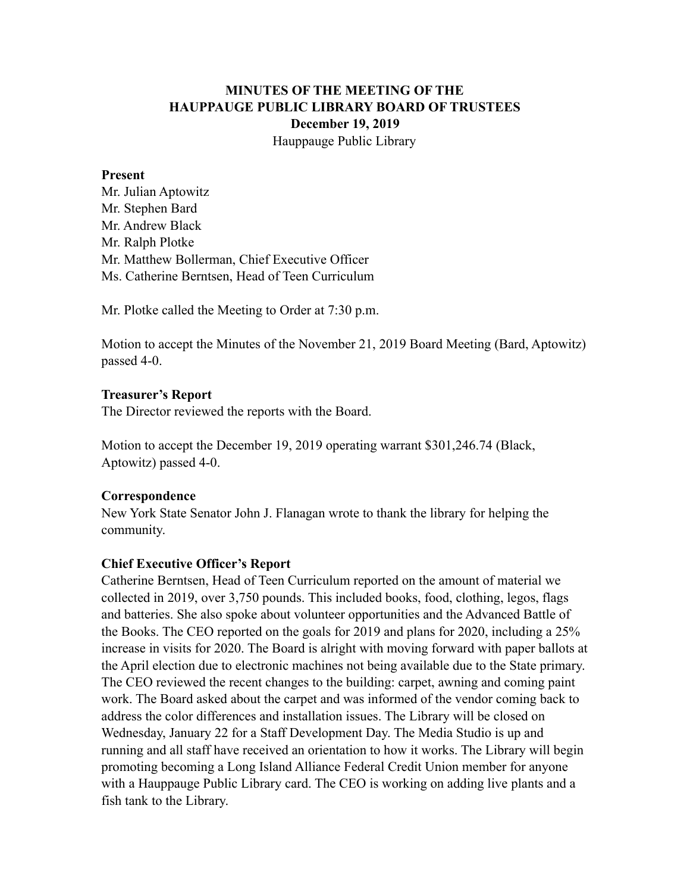# **MINUTES OF THE MEETING OF THE HAUPPAUGE PUBLIC LIBRARY BOARD OF TRUSTEES December 19, 2019** Hauppauge Public Library

#### **Present**

Mr. Julian Aptowitz Mr. Stephen Bard Mr. Andrew Black Mr. Ralph Plotke Mr. Matthew Bollerman, Chief Executive Officer Ms. Catherine Berntsen, Head of Teen Curriculum

Mr. Plotke called the Meeting to Order at 7:30 p.m.

Motion to accept the Minutes of the November 21, 2019 Board Meeting (Bard, Aptowitz) passed 4-0.

## **Treasurer's Report**

The Director reviewed the reports with the Board.

Motion to accept the December 19, 2019 operating warrant \$301,246.74 (Black, Aptowitz) passed 4-0.

## **Correspondence**

New York State Senator John J. Flanagan wrote to thank the library for helping the community.

## **Chief Executive Officer's Report**

Catherine Berntsen, Head of Teen Curriculum reported on the amount of material we collected in 2019, over 3,750 pounds. This included books, food, clothing, legos, flags and batteries. She also spoke about volunteer opportunities and the Advanced Battle of the Books. The CEO reported on the goals for 2019 and plans for 2020, including a 25% increase in visits for 2020. The Board is alright with moving forward with paper ballots at the April election due to electronic machines not being available due to the State primary. The CEO reviewed the recent changes to the building: carpet, awning and coming paint work. The Board asked about the carpet and was informed of the vendor coming back to address the color differences and installation issues. The Library will be closed on Wednesday, January 22 for a Staff Development Day. The Media Studio is up and running and all staff have received an orientation to how it works. The Library will begin promoting becoming a Long Island Alliance Federal Credit Union member for anyone with a Hauppauge Public Library card. The CEO is working on adding live plants and a fish tank to the Library.